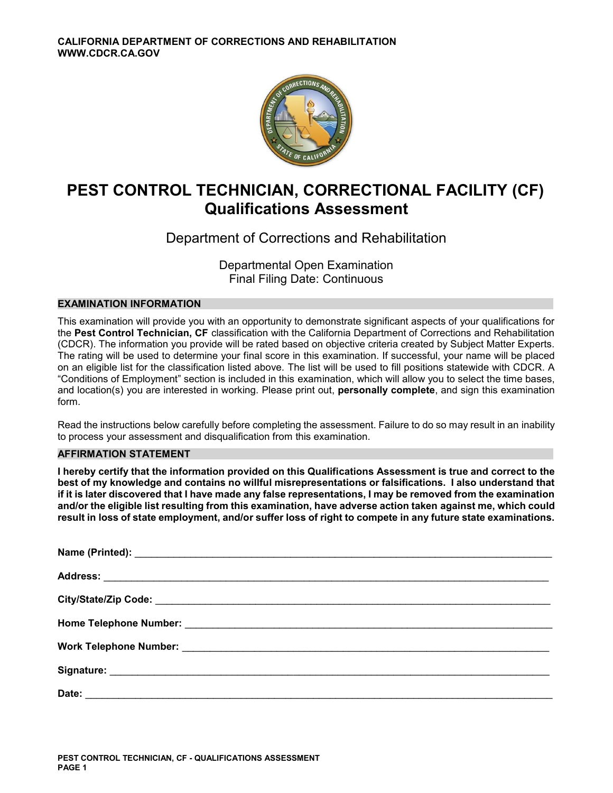

# **PEST CONTROL TECHNICIAN, CORRECTIONAL FACILITY (CF) Qualifications Assessment**

# Department of Corrections and Rehabilitation

Departmental Open Examination Final Filing Date: Continuous

# **EXAMINATION INFORMATION**

This examination will provide you with an opportunity to demonstrate significant aspects of your qualifications for the **Pest Control Technician, CF** classification with the California Department of Corrections and Rehabilitation (CDCR). The information you provide will be rated based on objective criteria created by Subject Matter Experts. The rating will be used to determine your final score in this examination. If successful, your name will be placed on an eligible list for the classification listed above. The list will be used to fill positions statewide with CDCR. A "Conditions of Employment" section is included in this examination, which will allow you to select the time bases, and location(s) you are interested in working. Please print out, **personally complete**, and sign this examination form.

Read the instructions below carefully before completing the assessment. Failure to do so may result in an inability to process your assessment and disqualification from this examination.

# **AFFIRMATION STATEMENT**

**I hereby certify that the information provided on this Qualifications Assessment is true and correct to the best of my knowledge and contains no willful misrepresentations or falsifications. I also understand that if it is later discovered that I have made any false representations, I may be removed from the examination and/or the eligible list resulting from this examination, have adverse action taken against me, which could result in loss of state employment, and/or suffer loss of right to compete in any future state examinations.**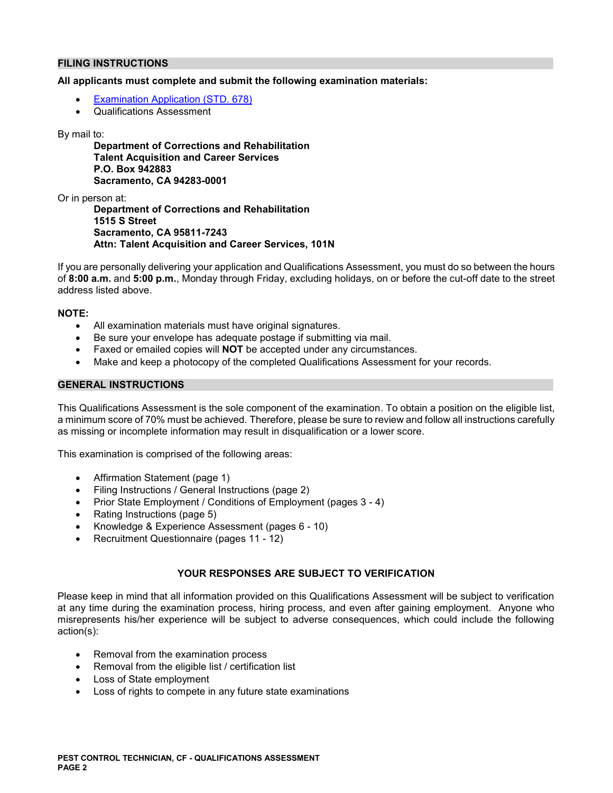# **FILING INSTRUCTIONS**

# **All applicants must complete and submit the following examination materials:**

- [Examination Application \(STD. 678\)](https://jobs.ca.gov/pdf/STD678.pdf)
- Qualifications Assessment

### By mail to:

**Department of Corrections and Rehabilitation Talent Acquisition and Career Services P.O. Box 942883 Sacramento, CA 94283-0001** 

Or in person at:

**Department of Corrections and Rehabilitation 1515 S Street Sacramento, CA 95811-7243 Attn: Talent Acquisition and Career Services, 101N** 

If you are personally delivering your application and Qualifications Assessment, you must do so between the hours of **8:00 a.m.** and **5:00 p.m.**, Monday through Friday, excluding holidays, on or before the cut-off date to the street address listed above.

# **NOTE:**

- All examination materials must have original signatures.
- Be sure your envelope has adequate postage if submitting via mail.
- Faxed or emailed copies will **NOT** be accepted under any circumstances.
- Make and keep a photocopy of the completed Qualifications Assessment for your records.

# **GENERAL INSTRUCTIONS**

This Qualifications Assessment is the sole component of the examination. To obtain a position on the eligible list, a minimum score of 70% must be achieved. Therefore, please be sure to review and follow all instructions carefully as missing or incomplete information may result in disqualification or a lower score.

This examination is comprised of the following areas:

- Affirmation Statement (page 1)
- Filing Instructions / General Instructions (page 2)
- Prior State Employment / Conditions of Employment (pages 3 4)
- Rating Instructions (page 5)
- Knowledge & Experience Assessment (pages 6 10)
- Recruitment Questionnaire (pages 11 12)

# **YOUR RESPONSES ARE SUBJECT TO VERIFICATION**

Please keep in mind that all information provided on this Qualifications Assessment will be subject to verification at any time during the examination process, hiring process, and even after gaining employment. Anyone who misrepresents his/her experience will be subject to adverse consequences, which could include the following action(s):

- Removal from the examination process
- Removal from the eligible list / certification list
- Loss of State employment
- Loss of rights to compete in any future state examinations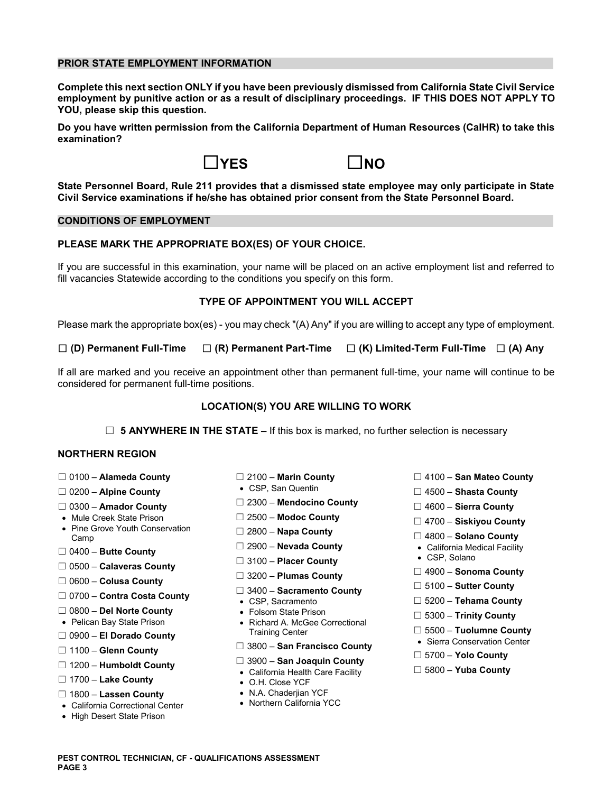# **PRIOR STATE EMPLOYMENT INFORMATION**

**Complete this next section ONLY if you have been previously dismissed from California State Civil Service employment by punitive action or as a result of disciplinary proceedings. IF THIS DOES NOT APPLY TO YOU, please skip this question.** 

**Do you have written permission from the California Department of Human Resources (CalHR) to take this examination?** 





**State Personnel Board, Rule 211 provides that a dismissed state employee may only participate in State Civil Service examinations if he/she has obtained prior consent from the State Personnel Board.** 

# **CONDITIONS OF EMPLOYMENT**

# **PLEASE MARK THE APPROPRIATE BOX(ES) OF YOUR CHOICE.**

If you are successful in this examination, your name will be placed on an active employment list and referred to fill vacancies Statewide according to the conditions you specify on this form.

### **TYPE OF APPOINTMENT YOU WILL ACCEPT**

Please mark the appropriate box(es) - you may check "(A) Any" if you are willing to accept any type of employment.

☐ **(D) Permanent Full-Time** ☐ **(R) Permanent Part-Time** ☐ **(K) Limited-Term Full-Time** ☐ **(A) Any** 

If all are marked and you receive an appointment other than permanent full-time, your name will continue to be considered for permanent full-time positions.

### **LOCATION(S) YOU ARE WILLING TO WORK**

□ **5 ANYWHERE IN THE STATE –** If this box is marked, no further selection is necessary

# **NORTHERN REGION**

- 
- 
- 
- 
- Mule Creek State Prison ☐ 2500 **Modoc County** ☐ 4700 **Siskiyou County**  Pine Grove Youth Conservation ☐ 2800 **Napa County** Camp ☐ 4800 **Solano County**
- 
- ☐ 0500 **Calaveras County**
- ☐ 0600 **Colusa County**
- ☐ 0700 **Contra Costa County**  CSP, Sacramento ☐ 5200 **Tehama County**
- 
- 
- 
- 
- 
- ☐ 1700 **Lake County**  O.H. Close YCF
- ☐ 1800 **Lassen County**  N.A. Chaderjian YCF
- California Correctional Center
- High Desert State Prison
- 
- 
- ☐ ☐ 2300 **Mendocino County** 0300 **Amador County** ☐ 4600 **Sierra County** 
	-
	-
	-
	- □ 3100 **Placer County**
	-
	- ☐ 5100 **Sutter County** 3400 **Sacramento County** ☐
	-
	-
- ☐ 0800 **Del Norte County**  Folsom State Prison ☐ 5300 **Trinity County**  Pelican Bay State Prison Richard A. McGee Correctional □ 5500 – **El Dorado County**<br>
□ 5500 – **El Dorado County**<br>
□ 1100 – **Glenn County**  $\Box$  3800 – **San Francisco County** • Sierra Conservation Center
	- ☐ ☐ 3800 **San Francisco County**
- 1100 **Glenn County** ☐ 5700 **Yolo County**  ☐ 3900 – **San Joaquin County** 1200 – **Humboldt County** ☐
	- California Health Care Facility ☐ 5800 **Yuba County**
	-
	-
	-
- ☐ 0100 **Alameda County** ☐ 2100 **Marin County** ☐ 4100 **San Mateo County**
- ☐ **Alpine County**  CSP, San Quentin 0200 ☐ 4500 **Shasta County** 
	-
	-
	-
- ☐ 2900 **Nevada County**  California Medical Facility ☐ 0400 **Butte County** 
	-
	- ☐ 4900 **Sonoma County** 3200 **Plumas County** ☐
		-
		-
		-
		-
		-
		-
		-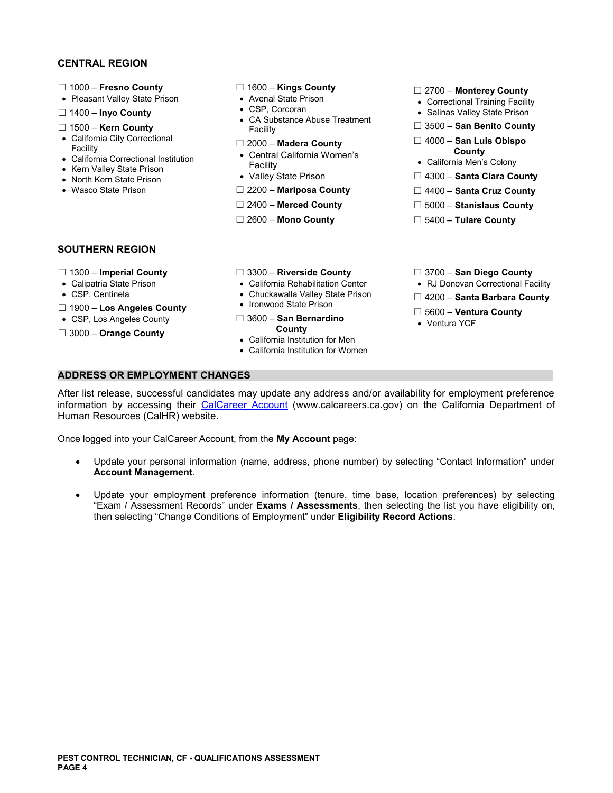# **CENTRAL REGION**

- 
- ☐ 1000 **Fresno County** ☐ 1600 **Kings County** ☐ 2700 **Monterey County**  Pleasant Valley State Prison Avenal State Prison Correctional Training Facility
- 
- 
- 
- 
- Facility California Men's Colony Kern Valley State Prison
- 
- 

- 
- 
- □ 1400 **Inyo County** <br>CA Substance Abuse Treatment **Can Benito Count <br>Facility Facility** Facility Count Count **Count** ☐ 1500 – **Kern County** Facility ☐ 3500 – **San Benito County** 
	-
- California Correctional Institution **COUNTY And Correctional Institution**<br>Facility **County Acts** California Men's Colony
	-
	-
	-
	-
- 
- 
- 
- 
- California City Correctional ☐ 2000 **Madera County** ☐ 4000 **San Luis Obispo** Facility
	-
- North Kern State Prison Valley State Prison □ 4300 **Santa Clara County**
- Wasco State Prison ☐ 2200 **Mariposa County** ☐ 4400 **Santa Cruz County** 
	- ☐ 2400 **Merced County** ☐ 5000 **Stanislaus County**
	- ☐ 2600 **Mono County** ☐ 5400 **Tulare County**

# **SOUTHERN REGION**

- 
- 
- 
- 
- 
- □ 3000 Orange County
- ☐ 1300 **Imperial County** ☐ 3300 **Riverside County** ☐ 3700 **San Diego County**
- Calipatria State Prison California Rehabilitation Center RJ Donovan Correctional Facility
	-

California Institution for Women

- 
- ☐ Ironwood State Prison 1900 **Los Angeles County**  ☐ 5600 **Ventura County**  CSP, Los Angeles County ☐ 3600 **San Bernardino** Ventura YCF • California Institution for Men
- 
- 
- CSP, Centinela **Chuckawalla Valley State Prison** □ 4200 **Santa Barbara County 1000 Lice Angeles County** Ironwood State Prison
	-
	-

**ADDRESS OR EMPLOYMENT CHANGES** 

After list release, successful candidates may update any address and/or availability for employment preference information by accessing their [CalCareer Account](https://www.jobs.ca.gov/) (www.calcareers.ca.gov) on the California Department of Human Resources (CalHR) website.

Once logged into your CalCareer Account, from the **My Account** page:

- Update your personal information (name, address, phone number) by selecting "Contact Information" under **Account Management**.
- Update your employment preference information (tenure, time base, location preferences) by selecting "Exam / Assessment Records" under **Exams / Assessments**, then selecting the list you have eligibility on, then selecting "Change Conditions of Employment" under **Eligibility Record Actions**.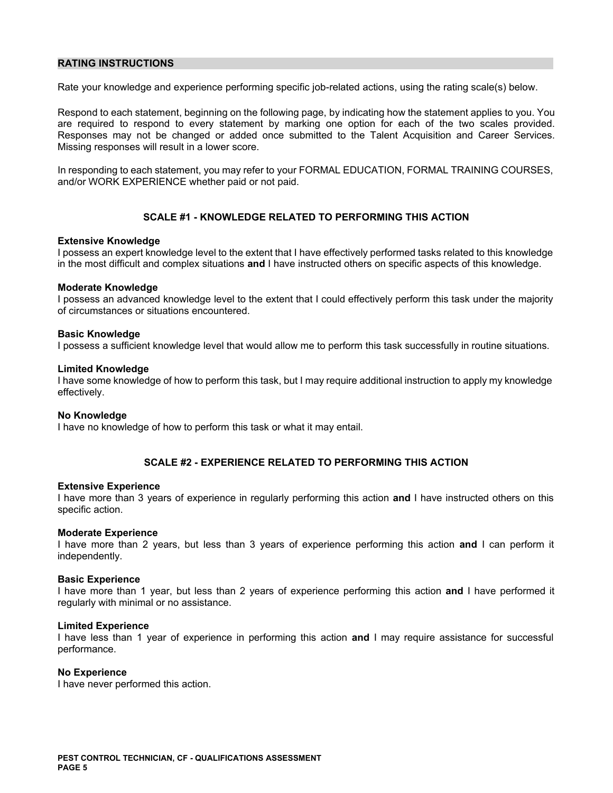# **RATING INSTRUCTIONS**

Rate your knowledge and experience performing specific job-related actions, using the rating scale(s) below.

Respond to each statement, beginning on the following page, by indicating how the statement applies to you. You are required to respond to every statement by marking one option for each of the two scales provided. Responses may not be changed or added once submitted to the Talent Acquisition and Career Services. Missing responses will result in a lower score.

In responding to each statement, you may refer to your FORMAL EDUCATION, FORMAL TRAINING COURSES, and/or WORK EXPERIENCE whether paid or not paid.

# **SCALE #1 - KNOWLEDGE RELATED TO PERFORMING THIS ACTION**

### **Extensive Knowledge**

I possess an expert knowledge level to the extent that I have effectively performed tasks related to this knowledge in the most difficult and complex situations **and** I have instructed others on specific aspects of this knowledge.

### **Moderate Knowledge**

I possess an advanced knowledge level to the extent that I could effectively perform this task under the majority of circumstances or situations encountered.

### **Basic Knowledge**

I possess a sufficient knowledge level that would allow me to perform this task successfully in routine situations.

### **Limited Knowledge**

I have some knowledge of how to perform this task, but I may require additional instruction to apply my knowledge effectively.

### **No Knowledge**

I have no knowledge of how to perform this task or what it may entail.

# **SCALE #2 - EXPERIENCE RELATED TO PERFORMING THIS ACTION**

### **Extensive Experience**

I have more than 3 years of experience in regularly performing this action **and** I have instructed others on this specific action.

### **Moderate Experience**

I have more than 2 years, but less than 3 years of experience performing this action **and** I can perform it independently.

### **Basic Experience**

I have more than 1 year, but less than 2 years of experience performing this action **and** I have performed it regularly with minimal or no assistance.

### **Limited Experience**

I have less than 1 year of experience in performing this action **and** I may require assistance for successful performance.

### **No Experience**

I have never performed this action.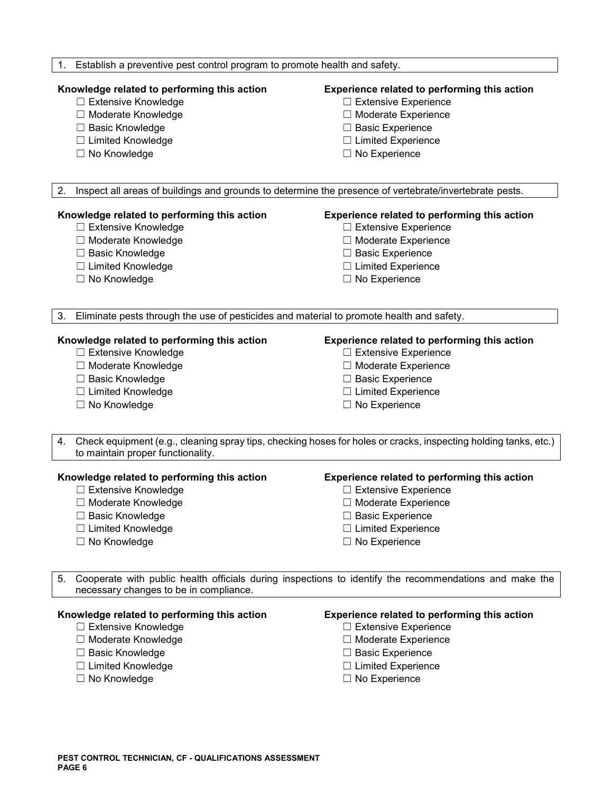# 1. Establish a preventive pest control program to promote health and safety.

# **Knowledge related to performing this action Experience related to performing this action**

- ☐ Extensive Knowledge ☐ Extensive Experience
- ☐ Moderate Knowledge ☐ Moderate Experience
- ☐ Basic Knowledge ☐ Basic Experience
- ☐ Limited Knowledge ☐ Limited Experience
- 

- 
- 
- 
- 
- ☐ No Knowledge ☐ No Experience

2. Inspect all areas of buildings and grounds to determine the presence of vertebrate/invertebrate pests.

# **Knowledge related to performing this action Experience related to performing this action**

- 
- 
- 
- 
- 

- ☐ Extensive Knowledge ☐ Extensive Experience
- ☐ Moderate Knowledge ☐ Moderate Experience
- ☐ Basic Knowledge ☐ Basic Experience
- ☐ Limited Knowledge ☐ Limited Experience
- ☐ No Knowledge ☐ No Experience

3. Eliminate pests through the use of pesticides and material to promote health and safety.

- 
- 
- 
- 
- ☐ No Knowledge ☐ No Experience

### **Knowledge related to performing this action Experience related to performing this action**

- ☐ Extensive Knowledge ☐ Extensive Experience
- ☐ Moderate Knowledge ☐ Moderate Experience
- ☐ Basic Knowledge ☐ Basic Experience
- ☐ Limited Knowledge ☐ Limited Experience
	-
- 4. Check equipment (e.g., cleaning spray tips, checking hoses for holes or cracks, inspecting holding tanks, etc.) to maintain proper functionality.

### **Knowledge related to performing this action Experience related to performing this action**

- ☐ Extensive Knowledge ☐ Extensive Experience
- ☐ Moderate Knowledge ☐ Moderate Experience
- 
- ☐ Limited Knowledge ☐ Limited Experience
- ☐ No Knowledge ☐ No Experience

- 
- 
- ☐ Basic Knowledge ☐ Basic Experience
	-
	-

5. Cooperate with public health officials during inspections to identify the recommendations and make the necessary changes to be in compliance.

- 
- 
- 
- ☐ Limited Knowledge ☐ Limited Experience
- 

# **Knowledge related to performing this action Experience related to performing this action**

- ☐ Extensive Knowledge ☐ Extensive Experience
- ☐ Moderate Knowledge ☐ Moderate Experience
- ☐ Basic Knowledge ☐ Basic Experience
	-
- ☐ No Knowledge ☐ No Experience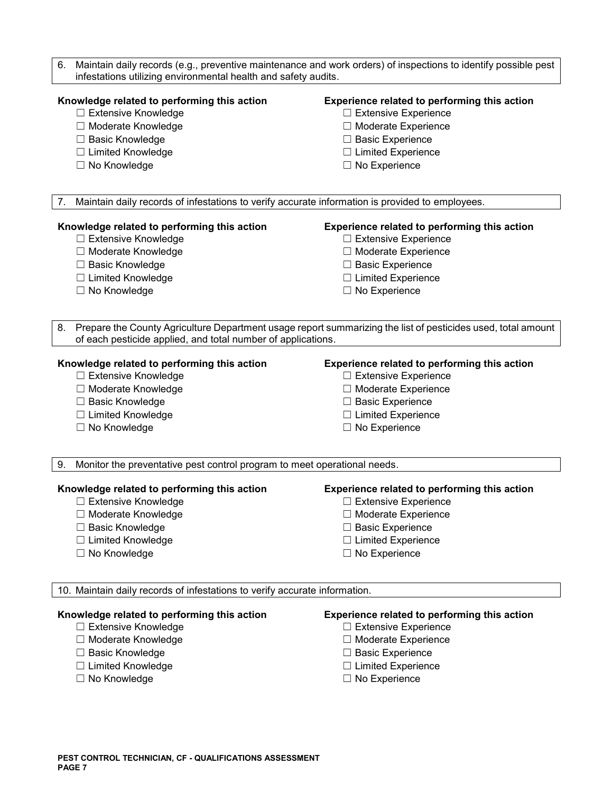| Maintain daily records (e.g., preventive maintenance and work orders) of inspections to identify possible pest<br>6.<br>infestations utilizing environmental health and safety audits. |                                                                             |  |
|----------------------------------------------------------------------------------------------------------------------------------------------------------------------------------------|-----------------------------------------------------------------------------|--|
| Knowledge related to performing this action                                                                                                                                            | Experience related to performing this action                                |  |
| □ Extensive Knowledge                                                                                                                                                                  | □ Extensive Experience                                                      |  |
| □ Moderate Knowledge                                                                                                                                                                   | □ Moderate Experience                                                       |  |
| □ Basic Knowledge                                                                                                                                                                      | $\Box$ Basic Experience                                                     |  |
| □ Limited Knowledge                                                                                                                                                                    | $\Box$ Limited Experience                                                   |  |
| □ No Knowledge                                                                                                                                                                         | $\Box$ No Experience                                                        |  |
|                                                                                                                                                                                        |                                                                             |  |
| Maintain daily records of infestations to verify accurate information is provided to employees.<br>7.                                                                                  |                                                                             |  |
| Knowledge related to performing this action                                                                                                                                            | Experience related to performing this action                                |  |
| □ Extensive Knowledge                                                                                                                                                                  | $\Box$ Extensive Experience                                                 |  |
| □ Moderate Knowledge                                                                                                                                                                   | □ Moderate Experience                                                       |  |
| □ Basic Knowledge                                                                                                                                                                      | □ Basic Experience                                                          |  |
| □ Limited Knowledge                                                                                                                                                                    | $\Box$ Limited Experience                                                   |  |
| □ No Knowledge                                                                                                                                                                         | $\Box$ No Experience                                                        |  |
|                                                                                                                                                                                        |                                                                             |  |
| Prepare the County Agriculture Department usage report summarizing the list of pesticides used, total amount<br>8.<br>of each pesticide applied, and total number of applications.     |                                                                             |  |
| Knowledge related to performing this action                                                                                                                                            | <b>Experience related to performing this action</b>                         |  |
| □ Extensive Knowledge                                                                                                                                                                  | $\Box$ Extensive Experience                                                 |  |
| □ Moderate Knowledge                                                                                                                                                                   | □ Moderate Experience                                                       |  |
| □ Basic Knowledge                                                                                                                                                                      | $\Box$ Basic Experience                                                     |  |
| □ Limited Knowledge                                                                                                                                                                    | $\Box$ Limited Experience                                                   |  |
| $\Box$ No Knowledge                                                                                                                                                                    | $\Box$ No Experience                                                        |  |
|                                                                                                                                                                                        |                                                                             |  |
| Monitor the preventative pest control program to meet operational needs.<br>9.                                                                                                         |                                                                             |  |
| Knowledge related to performing this action                                                                                                                                            | Experience related to performing this action                                |  |
| <b>Extensive Knowledge</b>                                                                                                                                                             | $\Box$ Extensive Experience                                                 |  |
| □ Moderate Knowledge                                                                                                                                                                   | □ Moderate Experience                                                       |  |
| <b>Basic Knowledge</b>                                                                                                                                                                 | <b>Basic Experience</b>                                                     |  |
| □ Limited Knowledge                                                                                                                                                                    | $\Box$ Limited Experience                                                   |  |
| $\Box$ No Knowledge                                                                                                                                                                    | $\Box$ No Experience                                                        |  |
| 10. Maintain daily records of infestations to verify accurate information.                                                                                                             |                                                                             |  |
| Knowledge related to performing this action<br><b>Extensive Knowledge</b>                                                                                                              | Experience related to performing this action<br>$\Box$ Extensive Experience |  |

- ☐ Moderate Knowledge ☐ Moderate Experience
- 
- ☐ Basic Knowledge ☐ Basic Experience ☐ Limited Knowledge ☐ Limited Experience
- 
- 
- 
- 
- 
- □ No Experience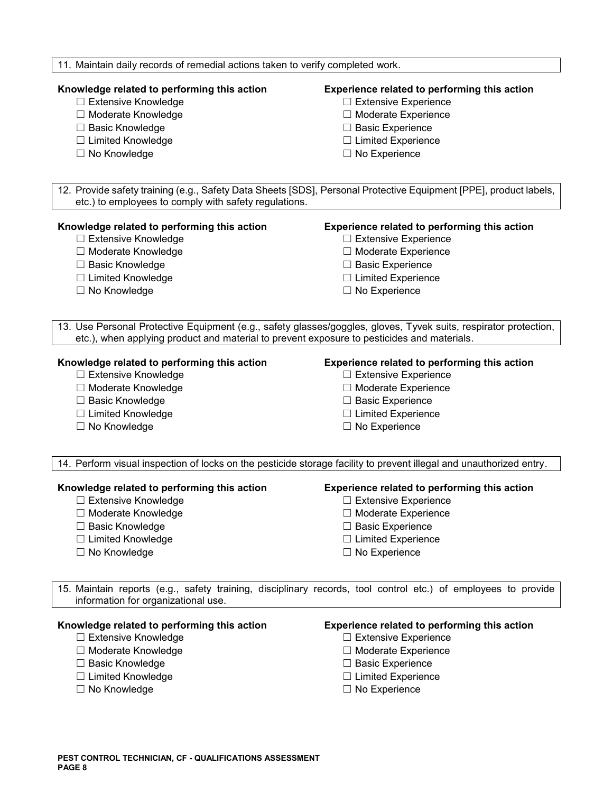### 11. Maintain daily records of remedial actions taken to verify completed work.

# **Knowledge related to performing this action Experience related to performing this action**

- ☐ Extensive Knowledge ☐ Extensive Experience
- ☐ Moderate Knowledge ☐ Moderate Experience
- ☐ Basic Knowledge ☐ Basic Experience
- ☐ Limited Knowledge ☐ Limited Experience
- ☐ No Knowledge ☐ No Experience

- 
- 
- 
- 
- 

12. Provide safety training (e.g., Safety Data Sheets [SDS], Personal Protective Equipment [PPE], product labels, etc.) to employees to comply with safety regulations.

### **Knowledge related to performing this action Experience related to performing this action**

- ☐ Extensive Knowledge ☐ Extensive Experience
- ☐ Moderate Knowledge ☐ Moderate Experience
- ☐ Basic Knowledge ☐ Basic Experience
- ☐ Limited Knowledge ☐ Limited Experience
- 

- 
- 
- 
- 
- ☐ No Knowledge ☐ No Experience

13. Use Personal Protective Equipment (e.g., safety glasses/goggles, gloves, Tyvek suits, respirator protection, etc.), when applying product and material to prevent exposure to pesticides and materials.

- ☐ Extensive Knowledge ☐ Extensive Experience
- ☐ Moderate Knowledge ☐ Moderate Experience
- ☐ Basic Knowledge ☐ Basic Experience
- ☐ Limited Knowledge ☐ Limited Experience
- ☐ No Knowledge ☐ No Experience

# **Knowledge related to performing this action Experience related to performing this action**

- 
- 
- 
- 
- 

14. Perform visual inspection of locks on the pesticide storage facility to prevent illegal and unauthorized entry.

- ☐ Extensive Knowledge ☐ Extensive Experience
- ☐ Moderate Knowledge ☐ Moderate Experience
- ☐ Basic Knowledge ☐ Basic Experience
- ☐ Limited Knowledge ☐ Limited Experience
- 

# **Knowledge related to performing this action Experience related to performing this action**

- 
- 
- 
- 
- ☐ No Knowledge ☐ No Experience

15. Maintain reports (e.g., safety training, disciplinary records, tool control etc.) of employees to provide information for organizational use.

### **Knowledge related to performing this action Experience related to performing this action**

- ☐ Extensive Knowledge ☐ Extensive Experience
- ☐ Moderate Knowledge ☐ Moderate Experience
- ☐ Basic Knowledge ☐ Basic Experience
- ☐ Limited Knowledge ☐ Limited Experience
- 

- 
- 
- 
- 
- ☐ No Knowledge ☐ No Experience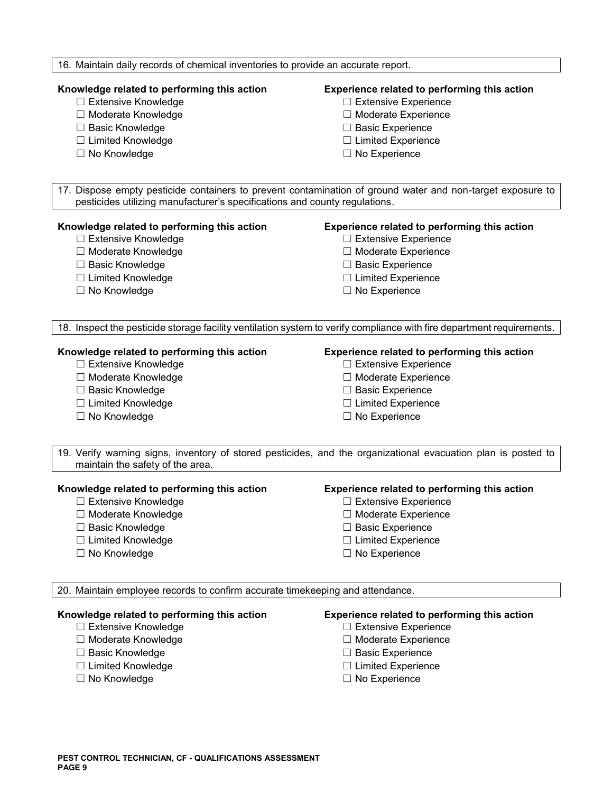## 16. Maintain daily records of chemical inventories to provide an accurate report.

# **Knowledge related to performing this action Experience related to performing this action**

- ☐ Extensive Knowledge ☐ Extensive Experience
- ☐ Moderate Knowledge ☐ Moderate Experience
- ☐ Basic Knowledge ☐ Basic Experience
- ☐ Limited Knowledge ☐ Limited Experience
- ☐ No Knowledge ☐ No Experience

- 
- 
- 
- 
- 

17. Dispose empty pesticide containers to prevent contamination of ground water and non-target exposure to pesticides utilizing manufacturer's specifications and county regulations.

### **Knowledge related to performing this action Experience related to performing this action**

- ☐ Extensive Knowledge ☐ Extensive Experience
- ☐ Moderate Knowledge ☐ Moderate Experience
- ☐ Basic Knowledge ☐ Basic Experience
- ☐ Limited Knowledge ☐ Limited Experience
- 

- 
- 
- 
- 
- ☐ No Knowledge ☐ No Experience

18. Inspect the pesticide storage facility ventilation system to verify compliance with fire department requirements.

- ☐ Extensive Knowledge ☐ Extensive Experience
- ☐ Moderate Knowledge ☐ Moderate Experience
- 
- ☐ Limited Knowledge ☐ Limited Experience
- ☐ No Knowledge ☐ No Experience

# **Knowledge related to performing this action Experience related to performing this action**

- 
- 
- ☐ Basic Knowledge ☐ Basic Experience
	-
	-

19. Verify warning signs, inventory of stored pesticides, and the organizational evacuation plan is posted to maintain the safety of the area.

# **Knowledge related to performing this action Experience related to performing this action**

- 
- 
- ☐ Basic Knowledge ☐ Basic Experience
- ☐ Limited Knowledge ☐ Limited Experience
- 

- ☐ Extensive Knowledge ☐ Extensive Experience
- ☐ Moderate Knowledge ☐ Moderate Experience
	-
	-
- ☐ No Knowledge ☐ No Experience

20. Maintain employee records to confirm accurate timekeeping and attendance.

- 
- 
- 
- 
- 

# **Knowledge related to performing this action Experience related to performing this action**

- ☐ Extensive Knowledge ☐ Extensive Experience
- ☐ Moderate Knowledge ☐ Moderate Experience
- ☐ Basic Knowledge ☐ Basic Experience
- ☐ Limited Knowledge ☐ Limited Experience
- ☐ No Knowledge ☐ No Experience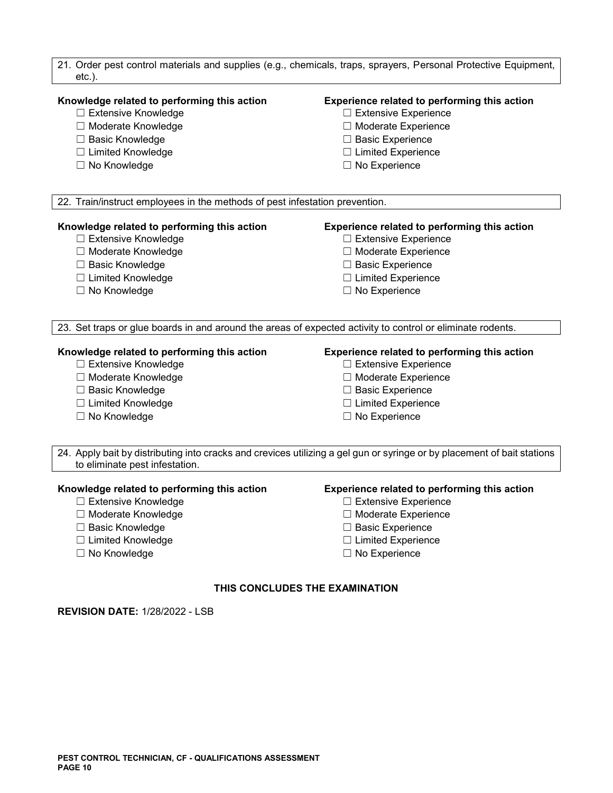| 21. Order pest control materials and supplies (e.g., chemicals, traps, sprayers, Personal Protective Equipment,<br>$etc.$ ).                                    |                                                                                                                                                                                   |  |
|-----------------------------------------------------------------------------------------------------------------------------------------------------------------|-----------------------------------------------------------------------------------------------------------------------------------------------------------------------------------|--|
| Knowledge related to performing this action<br>□ Extensive Knowledge<br>□ Moderate Knowledge<br>□ Basic Knowledge<br>□ Limited Knowledge<br>□ No Knowledge      | Experience related to performing this action<br>$\Box$ Extensive Experience<br>□ Moderate Experience<br>□ Basic Experience<br>$\Box$ Limited Experience<br>$\Box$ No Experience   |  |
| 22. Train/instruct employees in the methods of pest infestation prevention.                                                                                     |                                                                                                                                                                                   |  |
| Knowledge related to performing this action<br>□ Extensive Knowledge<br>□ Moderate Knowledge<br>□ Basic Knowledge<br>□ Limited Knowledge<br>□ No Knowledge      | <b>Experience related to performing this action</b><br>□ Extensive Experience<br>□ Moderate Experience<br>□ Basic Experience<br>$\Box$ Limited Experience<br>$\Box$ No Experience |  |
| 23. Set traps or glue boards in and around the areas of expected activity to control or eliminate rodents.                                                      |                                                                                                                                                                                   |  |
| Knowledge related to performing this action<br>□ Extensive Knowledge<br>□ Moderate Knowledge<br>□ Basic Knowledge<br>□ Limited Knowledge<br>□ No Knowledge      | Experience related to performing this action<br>□ Extensive Experience<br>□ Moderate Experience<br>□ Basic Experience<br>□ Limited Experience<br>$\Box$ No Experience             |  |
| to eliminate pest infestation.                                                                                                                                  | 24. Apply bait by distributing into cracks and crevices utilizing a gel gun or syringe or by placement of bait stations                                                           |  |
| Knowledge related to performing this action<br>$\Box$ Extensive Knowledge<br>□ Moderate Knowledge<br>□ Basic Knowledge<br>□ Limited Knowledge<br>□ No Knowledge | Experience related to performing this action<br>□ Extensive Experience<br>$\Box$ Moderate Experience<br>$\Box$ Basic Experience<br>□ Limited Experience<br>$\Box$ No Experience   |  |
| THIS CONCLUDES THE EXAMINATION                                                                                                                                  |                                                                                                                                                                                   |  |

**REVISION DATE:** 1/28/2022 - LSB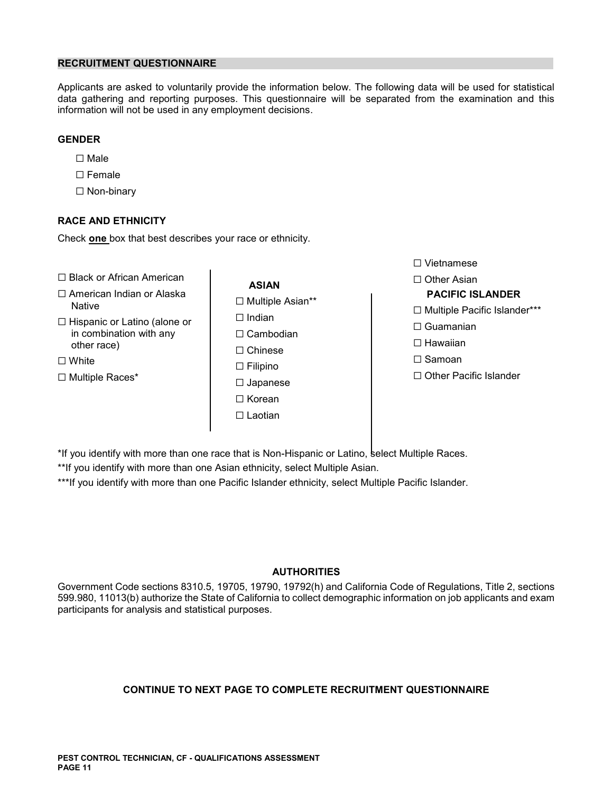# **RECRUITMENT QUESTIONNAIRE**

Applicants are asked to voluntarily provide the information below. The following data will be used for statistical data gathering and reporting purposes. This questionnaire will be separated from the examination and this information will not be used in any employment decisions.

# **GENDER**

- ☐ Male
- ☐ Female
- ☐ Non-binary

# **RACE AND ETHNICITY**

Check **one** box that best describes your race or ethnicity.

- ☐ Black or African American Other Asian **ASIAN** ☐
- ☐ American Indian or Alaska **PACIFIC ISLANDER** ☐ Multiple Asian\*\* Native ☐ Multiple Pacific Islander\*\*\*
- □ Hispanic or Latino (alone or □ □ Indian Thispanic of Latino (alone of  $\Box$  Cambodian in combination with any  $\Box$  Cambodian  $\Box$   $\Box$  Chinese  $\Box$   $\Box$  Hawaiian other race) ☐ Hawaiian
- 
- 
- ☐ Chinese ☐ White ☐ Samoan ☐ Filipino ☐ Japanese ☐ Korean ☐ Laotian

☐ Vietnamese

- 
- 
- 
- 
- ☐ Multiple Races\* ☐ Other Pacific Islander

\*If you identify with more than one race that is Non-Hispanic or Latino, select Multiple Races.

\*\*If you identify with more than one Asian ethnicity, select Multiple Asian.

\*\*\*If you identify with more than one Pacific Islander ethnicity, select Multiple Pacific Islander.

# **AUTHORITIES**

Government Code sections 8310.5, 19705, 19790, 19792(h) and California Code of Regulations, Title 2, sections 599.980, 11013(b) authorize the State of California to collect demographic information on job applicants and exam participants for analysis and statistical purposes.

# **CONTINUE TO NEXT PAGE TO COMPLETE RECRUITMENT QUESTIONNAIRE**